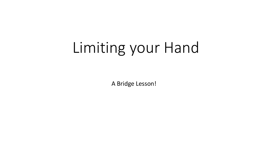# Limiting your Hand

A Bridge Lesson!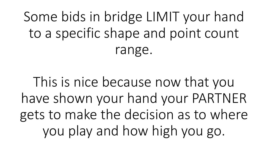Some bids in bridge LIMIT your hand to a specific shape and point count range.

This is nice because now that you have shown your hand your PARTNER gets to make the decision as to where you play and how high you go.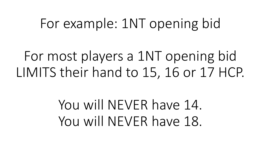### For example: 1NT opening bid

For most players a 1NT opening bid LIMITS their hand to 15, 16 or 17 HCP.

> You will NEVER have 14. You will NEVER have 18.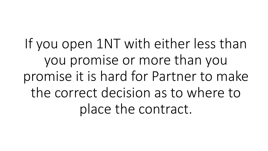If you open 1NT with either less than you promise or more than you promise it is hard for Partner to make the correct decision as to where to place the contract.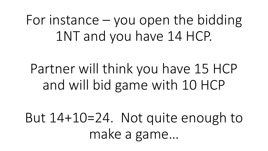For instance – you open the bidding 1NT and you have 14 HCP.

Partner will think you have 15 HCP and will bid game with 10 HCP

But 14+10=24. Not quite enough to make a game…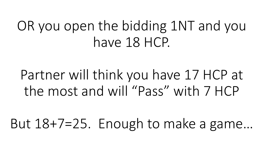## OR you open the bidding 1NT and you have 18 HCP.

Partner will think you have 17 HCP at the most and will "Pass" with 7 HCP

But 18+7=25. Enough to make a game…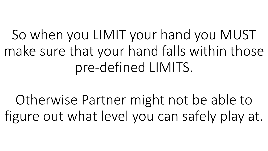So when you LIMIT your hand you MUST make sure that your hand falls within those pre-defined LIMITS.

Otherwise Partner might not be able to figure out what level you can safely play at.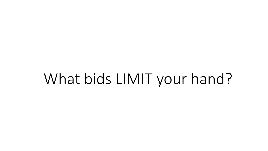# What bids LIMIT your hand?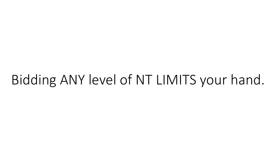### Bidding ANY level of NT LIMITS your hand.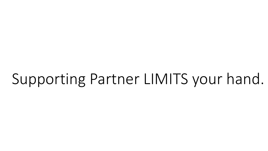# Supporting Partner LIMITS your hand.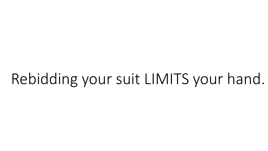# Rebidding your suit LIMITS your hand.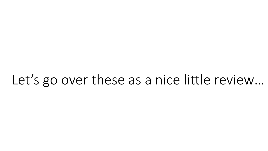### Let's go over these as a nice little review…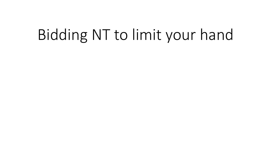# Bidding NT to limit your hand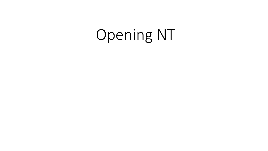# Opening NT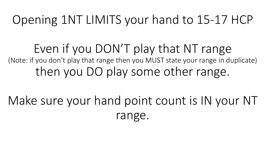### Opening 1NT LIMITS your hand to 15-17 HCP

Even if you DON'T play that NT range (Note: if you don't play that range then you MUST state your range in duplicate) then you DO play some other range.

Make sure your hand point count is IN your NT range.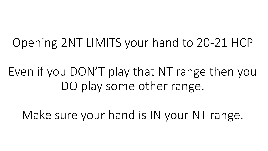Opening 2NT LIMITS your hand to 20-21 HCP

Even if you DON'T play that NT range then you DO play some other range.

Make sure your hand is IN your NT range.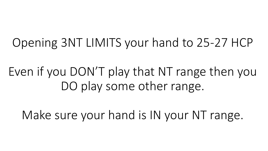Opening 3NT LIMITS your hand to 25-27 HCP

Even if you DON'T play that NT range then you DO play some other range.

Make sure your hand is IN your NT range.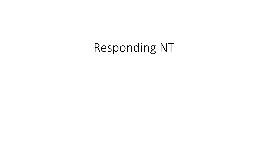### Responding NT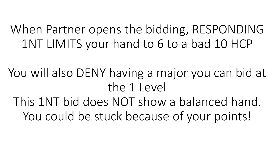### When Partner opens the bidding, RESPONDING 1NT LIMITS your hand to 6 to a bad 10 HCP

You will also DENY having a major you can bid at the 1 Level

This 1NT bid does NOT show a balanced hand. You could be stuck because of your points!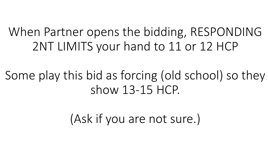### When Partner opens the bidding, RESPONDING 2NT LIMITS your hand to 11 or 12 HCP

### Some play this bid as forcing (old school) so they show 13-15 HCP.

(Ask if you are not sure.)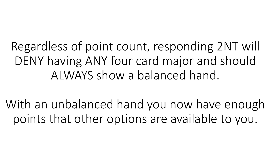Regardless of point count, responding 2NT will DENY having ANY four card major and should ALWAYS show a balanced hand.

With an unbalanced hand you now have enough points that other options are available to you.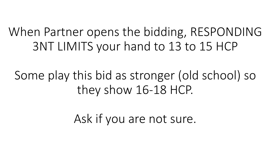### When Partner opens the bidding, RESPONDING 3NT LIMITS your hand to 13 to 15 HCP

### Some play this bid as stronger (old school) so they show 16-18 HCP.

Ask if you are not sure.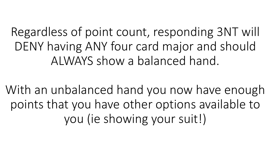Regardless of point count, responding 3NT will DENY having ANY four card major and should ALWAYS show a balanced hand.

With an unbalanced hand you now have enough points that you have other options available to you (ie showing your suit!)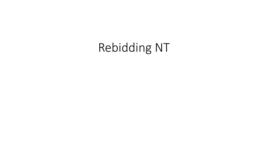### Rebidding NT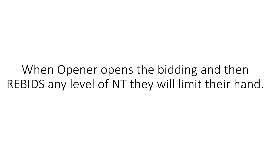When Opener opens the bidding and then REBIDS any level of NT they will limit their hand.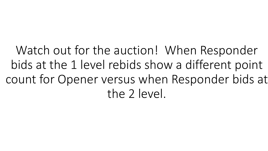Watch out for the auction! When Responder bids at the 1 level rebids show a different point count for Opener versus when Responder bids at the 2 level.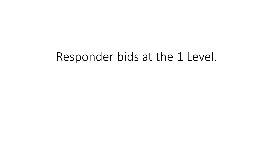#### Responder bids at the 1 Level.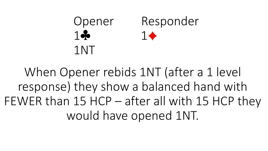### Opener Responder  $1 \bullet 1 \bullet$ 1NT

When Opener rebids 1NT (after a 1 level response) they show a balanced hand with FEWER than 15 HCP – after all with 15 HCP they would have opened 1NT.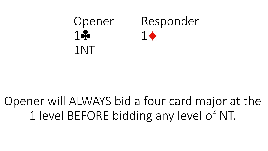

### Opener will ALWAYS bid a four card major at the 1 level BEFORE bidding any level of NT.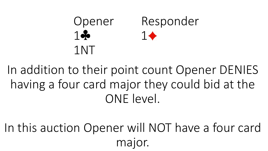### Opener Responder  $1 - 1$ 1NT

In addition to their point count Opener DENIES having a four card major they could bid at the ONE level.

In this auction Opener will NOT have a four card major.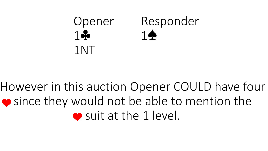

### However in this auction Opener COULD have four ● since they would not be able to mention the ● suit at the 1 level.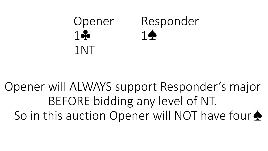

Opener will ALWAYS support Responder's major BEFORE bidding any level of NT. So in this auction Opener will NOT have four  $\triangle$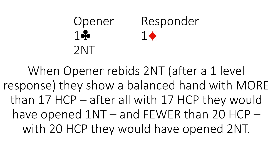### Opener Responder  $1 \bullet 1 \bullet$ 2NT

When Opener rebids 2NT (after a 1 level response) they show a balanced hand with MORE than 17 HCP – after all with 17 HCP they would have opened 1NT – and FEWER than 20 HCP – with 20 HCP they would have opened 2NT.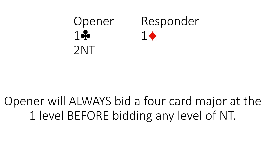

### Opener will ALWAYS bid a four card major at the 1 level BEFORE bidding any level of NT.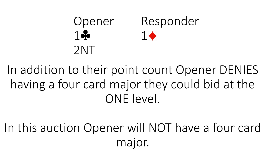### Opener Responder  $1 - 1$ 2NT

In addition to their point count Opener DENIES having a four card major they could bid at the ONE level.

In this auction Opener will NOT have a four card major.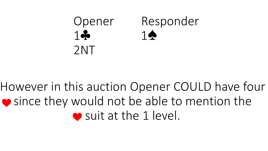

### However in this auction Opener COULD have four ● since they would not be able to mention the ● suit at the 1 level.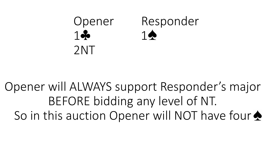

Opener will ALWAYS support Responder's major BEFORE bidding any level of NT. So in this auction Opener will NOT have four  $\triangle$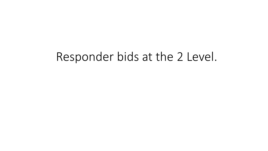#### Responder bids at the 2 Level.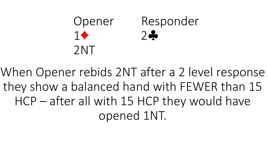### Opener Responder 1 2 2NT

When Opener rebids 2NT after a 2 level response they show a balanced hand with FEWER than 15 HCP – after all with 15 HCP they would have opened 1NT.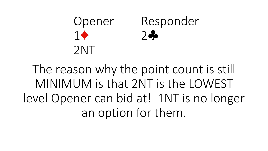### Opener Responder 1 2 2NT

The reason why the point count is still MINIMUM is that 2NT is the LOWEST level Opener can bid at! 1NT is no longer an option for them.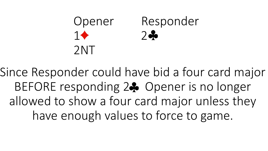### Opener Responder  $1 \rightarrow 2 \rightarrow 2$ 2NT

Since Responder could have bid a four card major BEFORE responding 24 Opener is no longer allowed to show a four card major unless they have enough values to force to game.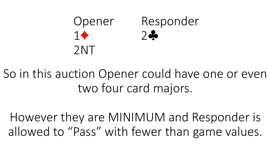### Opener Responder  $1 \rightarrow 2 \rightarrow 2$ 2NT

So in this auction Opener could have one or even two four card majors.

However they are MINIMUM and Responder is allowed to "Pass" with fewer than game values.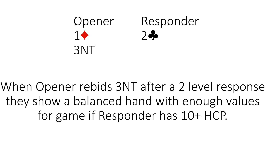#### Opener Responder 1 2 3NT

When Opener rebids 3NT after a 2 level response they show a balanced hand with enough values for game if Responder has 10+ HCP.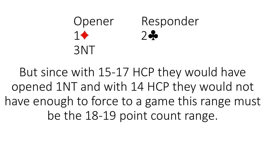### Opener Responder 1 2 3NT

But since with 15-17 HCP they would have opened 1NT and with 14 HCP they would not have enough to force to a game this range must be the 18-19 point count range.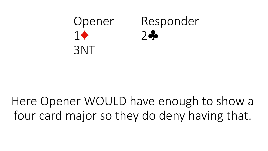

### Here Opener WOULD have enough to show a four card major so they do deny having that.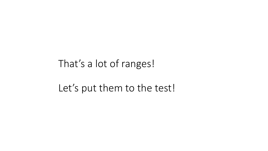#### That's a lot of ranges!

Let's put them to the test!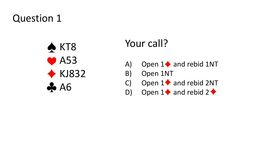#### Question 1



#### Your call?

- A) Open  $1\blacklozenge$  and rebid 1NT
- B) Open 1NT
- C) Open  $1 \blacklozenge$  and rebid 2NT
- D) Open  $1 \blacklozenge$  and rebid  $2 \blacklozenge$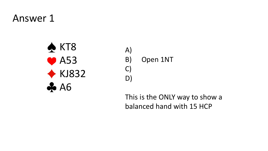#### Answer 1



A) B) Open 1NT C) D)

This is the ONLY way to show a balanced hand with 15 HCP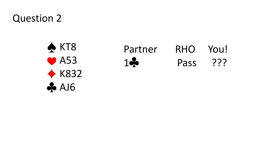#### Question 2



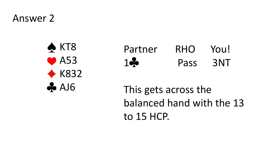Answer 2



| Partner | <b>RHO</b> | You! |
|---------|------------|------|
| 1       | Pass       | 3NT  |

This gets across the balanced hand with the 13 to 15 HCP.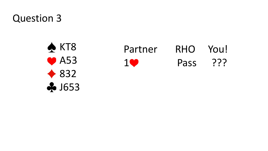Question 3



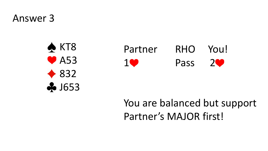Answer 3





#### You are balanced but support Partner's MAJOR first!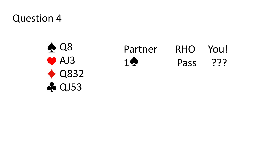#### Question 4

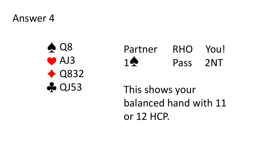#### Answer 4

 $\triangle$  Q8 ● AJ3  $\triangle$  Q832 **A** QJ53

Partner RHO You! 1<sup>2</sup> Pass 2NT

This shows your balanced hand with 11 or 12 HCP.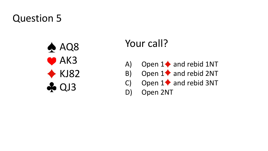#### Question 5



#### Your call?

- A) Open  $1\blacklozenge$  and rebid 1NT
- B) Open  $1$  and rebid 2NT
- C) Open  $1\blacklozenge$  and rebid 3NT

D) Open 2NT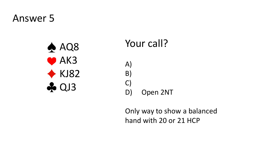#### Answer 5



#### Your call?

- A) B) C) D) Open 2NT
	- Only way to show a balanced hand with 20 or 21 HCP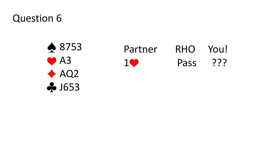Question 6



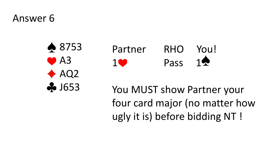#### Answer 6





You MUST show Partner your four card major (no matter how ugly it is) before bidding NT !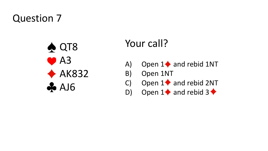#### Question 7



#### Your call?

- A) Open  $1\blacklozenge$  and rebid 1NT
- B) Open 1NT
- C) Open  $1 \blacklozenge$  and rebid 2NT
- D) Open  $1 \blacklozenge$  and rebid  $3 \blacklozenge$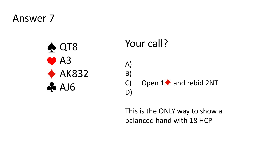#### Answer 7



#### Your call? A) B) C) Open  $1\blacklozenge$  and rebid 2NT D)

This is the ONLY way to show a balanced hand with 18 HCP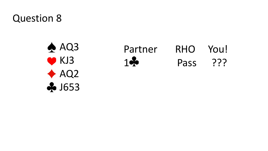#### Question 8



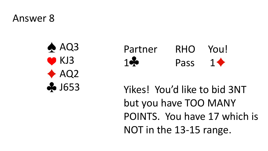Answer 8





Yikes! You'd like to bid 3NT but you have TOO MANY POINTS. You have 17 which is NOT in the 13-15 range.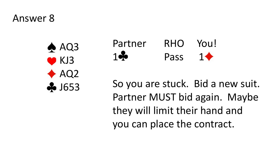#### Answer 8



#### Partner RHO You!  $1 \bullet$  Pass  $1 \bullet$

So you are stuck. Bid a new suit. Partner MUST bid again. Maybe they will limit their hand and you can place the contract.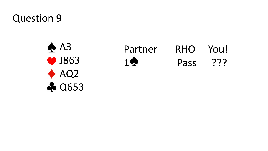Question 9

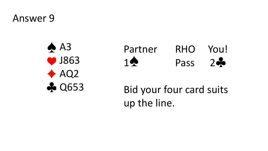Answer 9





Bid your four card suits up the line.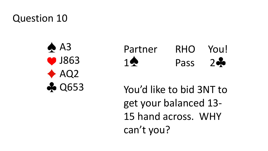#### Question 10





You'd like to bid 3NT to get your balanced 13- 15 hand across. WHY can't you?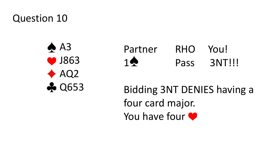#### Question 10



| Partner        | <b>RHO</b> | You!   |
|----------------|------------|--------|
| $1 \spadesuit$ | Pass       | 3NT!!! |

Bidding 3NT DENIES having a four card major. You have four  $\bullet$